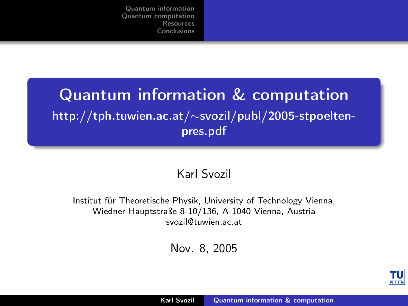# Quantum information & computation http://tph.tuwien.ac.at/∼svozil/publ/2005-stpoeltenpres.pdf

#### Karl Svozil

Institut für Theoretische Physik, University of Technology Vienna, Wiedner Hauptstraße 8-10/136, A-1040 Vienna, Austria svozil@tuwien.ac.at

Nov. 8, 2005

<span id="page-0-0"></span>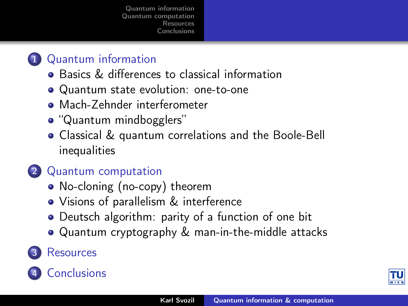#### 1 [Quantum information](#page-2-0)

- **[Basics & differences to classical information](#page-2-0)**
- [Quantum state evolution: one-to-one](#page-4-0)
- [Mach-Zehnder interferometer](#page-6-0)
- ["Quantum mindbogglers"](#page-9-0)
- [Classical & quantum correlations and the Boole-Bell](#page-11-0) [inequalities](#page-11-0)
- 2 [Quantum computation](#page-17-0)
	- [No-cloning \(no-copy\) theorem](#page-17-0)
	- [Visions of parallelism & interference](#page-19-0)
	- [Deutsch algorithm: parity of a function of one bit](#page-20-0)
	- [Quantum cryptography & man-in-the-middle attacks](#page-27-0)

#### **[Resources](#page-31-0)**



**[Conclusions](#page-32-0)** 

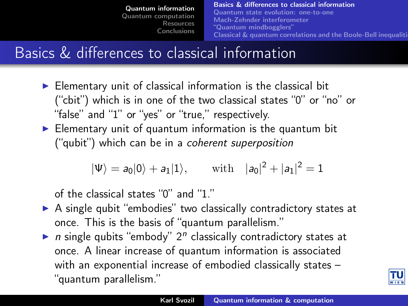[Basics & differences to classical information](#page-2-0) [Quantum state evolution: one-to-one](#page-4-0) [Mach-Zehnder interferometer](#page-6-0) ["Quantum mindbogglers"](#page-9-0) Classical  $&$  quantum correlations and the Boole-Bell inequaliti

### Basics & differences to classical information

- $\blacktriangleright$  Elementary unit of classical information is the classical bit ("cbit") which is in one of the two classical states "0" or "no" or "false" and "1" or "yes" or "true," respectively.
- $\triangleright$  Elementary unit of quantum information is the quantum bit ("qubit") which can be in a coherent superposition

$$
|\Psi\rangle=a_0|0\rangle+a_1|1\rangle, \qquad {\rm with}\quad |a_0|^2+|a_1|^2=1
$$

of the classical states "0" and "1."

- $\triangleright$  A single qubit "embodies" two classically contradictory states at once. This is the basis of "quantum parallelism."
- $\triangleright$  n single qubits "embody"  $2^n$  classically contradictory states at once. A linear increase of quantum information is associated with an exponential increase of embodied classically states – "quantum parallelism."

<span id="page-2-0"></span>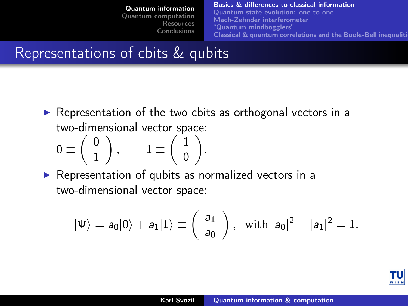[Basics & differences to classical information](#page-2-0) [Quantum state evolution: one-to-one](#page-4-0) [Mach-Zehnder interferometer](#page-6-0) ["Quantum mindbogglers"](#page-9-0) Classical  $&$  quantum correlations and the Boole-Bell inequaliti

## Representations of cbits & qubits

 $\triangleright$  Representation of the two cbits as orthogonal vectors in a two-dimensional vector space:

$$
0\equiv \left(\begin{array}{c} 0 \\ 1 \end{array}\right), \qquad 1\equiv \left(\begin{array}{c} 1 \\ 0 \end{array}\right).
$$

 $\triangleright$  Representation of qubits as normalized vectors in a two-dimensional vector space:

$$
|\Psi\rangle=a_0|0\rangle+a_1|1\rangle\equiv\left(\begin{array}{c}a_1\\a_0\end{array}\right),\;\;\textrm{with}\;|a_0|^2+|a_1|^2=1.
$$

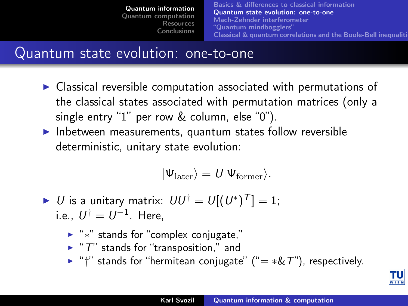[Basics & differences to classical information](#page-2-0) [Quantum state evolution: one-to-one](#page-4-0) [Mach-Zehnder interferometer](#page-6-0) ["Quantum mindbogglers"](#page-9-0) Classical  $&$  quantum correlations and the Boole-Bell inequaliti

### Quantum state evolution: one-to-one

- $\triangleright$  Classical reversible computation associated with permutations of the classical states associated with permutation matrices (only a single entry "1" per row & column, else "0").
- $\blacktriangleright$  Inbetween measurements, quantum states follow reversible deterministic, unitary state evolution:

$$
|\Psi_{\rm later}\rangle = {\it U}|\Psi_{\rm former}\rangle.
$$

- ►  $U$  is a unitary matrix:  $UU^{\dagger} = U[(U^*)^T] = 1;$ i.e.,  $U^{\dagger} = U^{-1}$ . Here,
	- ► "\*" stands for "complex conjugate,"
	- $\blacktriangleright$  "T" stands for "transposition," and
	- $\blacktriangleright$  "†" stands for "hermitean conjugate" ("= \*&T"), respectively.

<span id="page-4-0"></span>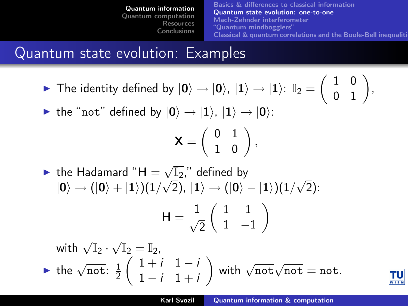[Quantum information](#page-2-0) [Quantum computation](#page-17-0) [Resources](#page-31-0) [Conclusions](#page-32-0) [Basics & differences to classical information](#page-2-0) [Quantum state evolution: one-to-one](#page-4-0) [Mach-Zehnder interferometer](#page-6-0) ["Quantum mindbogglers"](#page-9-0) Classical  $&$  quantum correlations and the Boole-Bell inequaliti

### Quantum state evolution: Examples

- ▶ The identity defined by  $|0\rangle \rightarrow |0\rangle$ ,  $|1\rangle \rightarrow |1\rangle$ :  $\mathbb{I}_{2} = \left( \begin{array}{cc} 1 & 0 \ 0 & 1 \end{array} \right)$ ,
- **►** the "not" defined by  $|0\rangle \rightarrow |1\rangle$ ,  $|1\rangle \rightarrow |0\rangle$ :

$$
\textbf{X}=\left(\begin{array}{cc} 0 & 1 \\ 1 & 0 \end{array}\right),
$$

• the Hadamard "**H** = 
$$
\sqrt{\mathbb{I}_2}
$$
," defined by  
 $|0\rangle \rightarrow (|0\rangle + |1\rangle)(1/\sqrt{2}), |1\rangle \rightarrow (|0\rangle - |1\rangle)(1/\sqrt{2})$ :

$$
\mathsf{H} = \frac{1}{\sqrt{2}} \left( \begin{array}{cc} 1 & 1 \\ 1 & -1 \end{array} \right)
$$

with 
$$
\sqrt{\mathbb{I}_2} \cdot \sqrt{\mathbb{I}_2} = \mathbb{I}_2
$$
,  
\n**b** the  $\sqrt{\text{not}}$ :  $\frac{1}{2} \begin{pmatrix} 1+i & 1-i \\ 1-i & 1+i \end{pmatrix}$  with  $\sqrt{\text{not}} \sqrt{\text{not}} = \text{not}$ .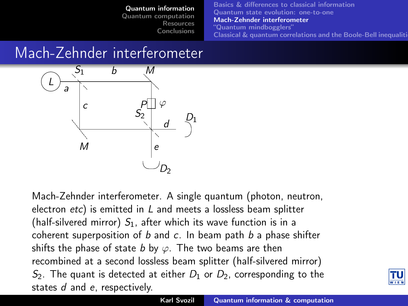[Quantum information](#page-2-0)

[Quantum computation](#page-17-0) [Resources](#page-31-0) [Conclusions](#page-32-0)

[Basics & differences to classical information](#page-2-0) [Quantum state evolution: one-to-one](#page-4-0) [Mach-Zehnder interferometer](#page-6-0) ["Quantum mindbogglers"](#page-9-0) Classical  $&$  quantum correlations and the Boole-Bell inequaliti

### Mach-Zehnder interferometer



Mach-Zehnder interferometer. A single quantum (photon, neutron, electron  $etc$ ) is emitted in  $L$  and meets a lossless beam splitter (half-silvered mirror)  $S_1$ , after which its wave function is in a coherent superposition of  $b$  and  $c$ . In beam path  $b$  a phase shifter shifts the phase of state b by  $\varphi$ . The two beams are then recombined at a second lossless beam splitter (half-silvered mirror)  $S_2$ . The quant is detected at either  $D_1$  or  $D_2$ , corresponding to the states d and e, respectively.

<span id="page-6-0"></span>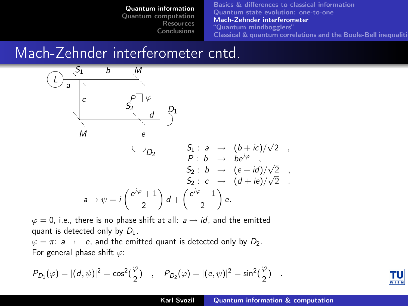[Quantum information](#page-2-0)

[Quantum computation](#page-17-0) [Resources](#page-31-0) [Conclusions](#page-32-0) [Basics & differences to classical information](#page-2-0) [Quantum state evolution: one-to-one](#page-4-0) [Mach-Zehnder interferometer](#page-6-0) ["Quantum mindbogglers"](#page-9-0) Classical  $&$  quantum correlations and the Boole-Bell inequaliti

### Mach-Zehnder interferometer cntd.



 $\varphi = 0$ , i.e., there is no phase shift at all:  $a \rightarrow id$ , and the emitted quant is detected only by  $D_1$ .  $\varphi = \pi$ :  $a \rightarrow -e$ , and the emitted quant is detected only by  $D_2$ . For general phase shift  $\varphi$ :

$$
P_{D_1}(\varphi) = |(d,\psi)|^2 = \cos^2(\frac{\varphi}{2}) \quad , \quad P_{D_2}(\varphi) = |(e,\psi)|^2 = \sin^2(\frac{\varphi}{2}) \quad .
$$

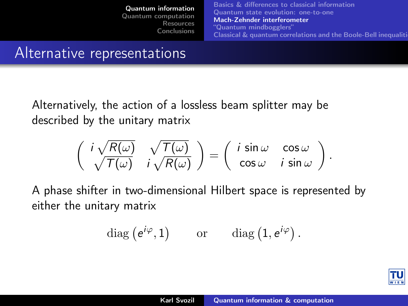[Basics & differences to classical information](#page-2-0) [Quantum state evolution: one-to-one](#page-4-0) [Mach-Zehnder interferometer](#page-6-0) ["Quantum mindbogglers"](#page-9-0) Classical  $&$  quantum correlations and the Boole-Bell inequaliti

# Alternative representations

Alternatively, the action of a lossless beam splitter may be described by the unitary matrix

$$
\left(\begin{array}{cc} i\sqrt{R(\omega)} & \sqrt{T(\omega)} \\ \sqrt{T(\omega)} & i\sqrt{R(\omega)} \end{array}\right)=\left(\begin{array}{cc} i\,\sin\omega & \cos\omega \\ \cos\omega & i\,\sin\omega \end{array}\right).
$$

A phase shifter in two-dimensional Hilbert space is represented by either the unitary matrix

$$
\mathrm{diag}\left(e^{i\varphi},1\right) \qquad \mathrm{or} \qquad \mathrm{diag}\left(1,e^{i\varphi}\right).
$$

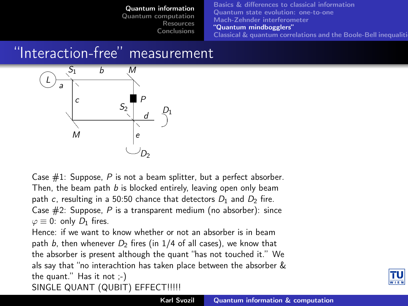[Quantum information](#page-2-0)

[Quantum computation](#page-17-0) [Resources](#page-31-0) [Conclusions](#page-32-0)

[Basics & differences to classical information](#page-2-0) [Quantum state evolution: one-to-one](#page-4-0) [Mach-Zehnder interferometer](#page-6-0) ["Quantum mindbogglers"](#page-9-0) [Classical & quantum correlations and the Boole-Bell inequalitie](#page-11-0)s

"Interaction-free" measurement



Case  $#1$ : Suppose, P is not a beam splitter, but a perfect absorber. Then, the beam path  $b$  is blocked entirely, leaving open only beam path c, resulting in a 50:50 chance that detectors  $D_1$  and  $D_2$  fire. Case  $#2$ : Suppose, P is a transparent medium (no absorber): since  $\varphi \equiv 0$ : only  $D_1$  fires.

Hence: if we want to know whether or not an absorber is in beam path b, then whenever  $D_2$  fires (in 1/4 of all cases), we know that the absorber is present although the quant "has not touched it." We als say that "no interachtion has taken place between the absorber & the quant." Has it not ;-) SINGLE QUANT (QUBIT) EFFECT!!!!!

<span id="page-9-0"></span>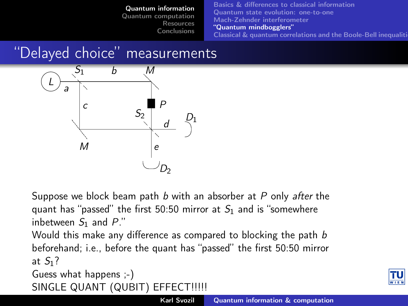[Quantum information](#page-2-0)

[Quantum computation](#page-17-0) [Resources](#page-31-0) [Conclusions](#page-32-0)

[Basics & differences to classical information](#page-2-0) [Quantum state evolution: one-to-one](#page-4-0) [Mach-Zehnder interferometer](#page-6-0) ["Quantum mindbogglers"](#page-9-0) [Classical & quantum correlations and the Boole-Bell inequalitie](#page-11-0)s

"Delayed choice" measurements



Suppose we block beam path b with an absorber at P only after the quant has "passed" the first 50:50 mirror at  $S_1$  and is "somewhere inbetween  $S_1$  and P."

Would this make any difference as compared to blocking the path b beforehand; i.e., before the quant has "passed" the first 50:50 mirror at  $S<sub>1</sub>$ ?

Guess what happens ;-)



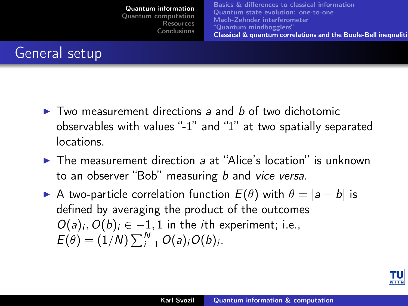[Quantum information](#page-2-0) [Quantum computation](#page-17-0) [Resources](#page-31-0) [Conclusions](#page-32-0) [Basics & differences to classical information](#page-2-0) [Quantum state evolution: one-to-one](#page-4-0) [Mach-Zehnder interferometer](#page-6-0) ["Quantum mindbogglers"](#page-9-0) [Classical & quantum correlations and the Boole-Bell inequalitie](#page-11-0)s



- $\triangleright$  Two measurement directions a and b of two dichotomic observables with values "-1" and "1" at two spatially separated locations.
- $\triangleright$  The measurement direction a at "Alice's location" is unknown to an observer "Bob" measuring b and vice versa.
- A two-particle correlation function  $E(\theta)$  with  $\theta = |a b|$  is defined by averaging the product of the outcomes  $O(a)_i$ ,  $O(b)_i \in -1, 1$  in the *i*th experiment; i.e.,  $E(\theta) = (1/N) \sum_{i=1}^{N} O(a_i i O(b_i).$

<span id="page-11-0"></span>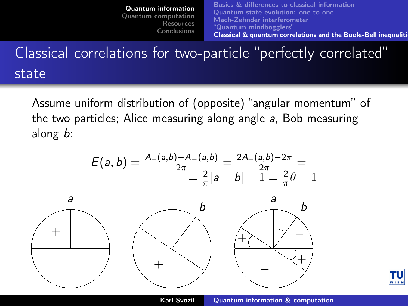[Quantum information](#page-2-0) [Quantum computation](#page-17-0) [Resources](#page-31-0) [Conclusions](#page-32-0) [Basics & differences to classical information](#page-2-0) [Quantum state evolution: one-to-one](#page-4-0) [Mach-Zehnder interferometer](#page-6-0) ["Quantum mindbogglers"](#page-9-0) [Classical & quantum correlations and the Boole-Bell inequalitie](#page-11-0)s

# Classical correlations for two-particle "perfectly correlated" state

Assume uniform distribution of (opposite) "angular momentum" of the two particles; Alice measuring along angle a, Bob measuring along b:

$$
E(a,b) = \frac{A_+(a,b)-A_-(a,b)}{2\pi} = \frac{2A_+(a,b)-2\pi}{2\pi} = \frac{2}{\pi}|a-b|-1 = \frac{2}{\pi}\theta - 1
$$



TU<br>"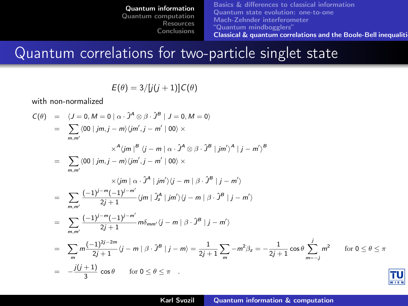[Quantum information](#page-2-0) [Quantum computation](#page-17-0) [Resources](#page-31-0) [Conclusions](#page-32-0) [Basics & differences to classical information](#page-2-0) [Quantum state evolution: one-to-one](#page-4-0) [Mach-Zehnder interferometer](#page-6-0) ["Quantum mindbogglers"](#page-9-0) Classical & quantum correlations and the Boole-Bell inequaliti

Quantum correlations for two-particle singlet state

$$
E(\theta) = 3/[j(j+1)]C(\theta)
$$

with non-normalized

$$
C(\theta) = \langle J = 0, M = 0 | \alpha \cdot \hat{J}^{A} \otimes \beta \cdot \hat{J}^{B} | J = 0, M = 0 \rangle
$$
  
\n
$$
= \sum_{m,m'} \langle 00 | jm, j - m \rangle \langle jm', j - m' | 00 \rangle \times
$$
  
\n
$$
\times^{A} \langle jm |^{B} \langle j - m | \alpha \cdot \hat{J}^{A} \otimes \beta \cdot \hat{J}^{B} | jm' \rangle^{A} | j - m' \rangle^{B}
$$
  
\n
$$
= \sum_{m,m'} \langle 00 | jm, j - m \rangle \langle jm', j - m' | 00 \rangle \times
$$
  
\n
$$
\times \langle jm | \alpha \cdot \hat{J}^{A} | jm' \rangle \langle j - m | \beta \cdot \hat{J}^{B} | j - m' \rangle
$$
  
\n
$$
= \sum_{m,m'} \frac{(-1)^{j-m}(-1)^{j-m'}}{2j+1} \langle jm | \hat{J}^{A}_{z} | jm' \rangle \langle j - m | \beta \cdot \hat{J}^{B} | j - m' \rangle
$$
  
\n
$$
= \sum_{m,m'} \frac{(-1)^{j-m}(-1)^{j-m'}}{2j+1} m \delta_{mm'} \langle j - m | \beta \cdot \hat{J}^{B} | j - m' \rangle
$$
  
\n
$$
= \sum_{m} m \frac{(-1)^{2j-2m}}{2j+1} \langle j - m | \beta \cdot \hat{J}^{B} | j - m \rangle = \frac{1}{2j+1} \sum_{m} -m^{2} \beta_{z} = -\frac{1}{2j+1} \cos \theta \sum_{m=-j}^{j} m^{2} \quad \text{for } 0 \le \theta \le \pi
$$
  
\n
$$
= -\frac{j(j+1)}{3} \cos \theta \quad \text{for } 0 \le \theta \le \pi
$$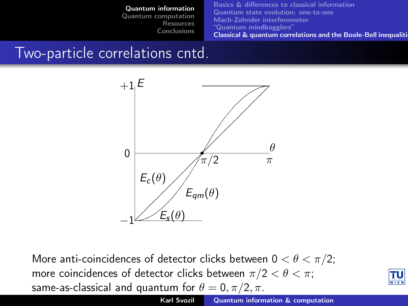[Quantum information](#page-2-0) [Quantum computation](#page-17-0)

[Resources](#page-31-0) [Conclusions](#page-32-0) [Basics & differences to classical information](#page-2-0) [Quantum state evolution: one-to-one](#page-4-0) [Mach-Zehnder interferometer](#page-6-0) ["Quantum mindbogglers"](#page-9-0) Classical & quantum correlations and the Boole-Bell inequaliti

## Two-particle correlations cntd.



More anti-coincidences of detector clicks between  $0 < \theta < \pi/2$ ; more coincidences of detector clicks between  $\pi/2 < \theta < \pi$ ; same-as-classical and quantum for  $\theta = 0, \pi/2, \pi$ .

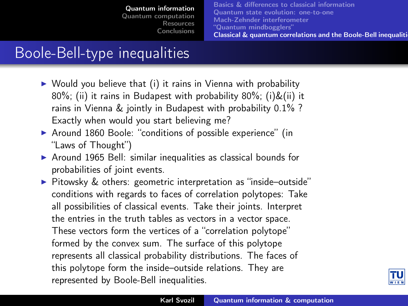[Basics & differences to classical information](#page-2-0) [Quantum state evolution: one-to-one](#page-4-0) [Mach-Zehnder interferometer](#page-6-0) ["Quantum mindbogglers"](#page-9-0) [Classical & quantum correlations and the Boole-Bell inequalitie](#page-11-0)s

# Boole-Bell-type inequalities

- $\triangleright$  Would you believe that (i) it rains in Vienna with probability 80%; (ii) it rains in Budapest with probability 80%; (i)&(ii) it rains in Vienna & jointly in Budapest with probability 0.1% ? Exactly when would you start believing me?
- ▶ Around 1860 Boole: "conditions of possible experience" (in "Laws of Thought")
- $\triangleright$  Around 1965 Bell: similar inequalities as classical bounds for probabilities of joint events.
- ▶ Pitowsky & others: geometric interpretation as "inside-outside" conditions with regards to faces of correlation polytopes: Take all possibilities of classical events. Take their joints. Interpret the entries in the truth tables as vectors in a vector space. These vectors form the vertices of a "correlation polytope" formed by the convex sum. The surface of this polytope represents all classical probability distributions. The faces of this polytope form the inside–outside relations. They are represented by Boole-Bell inequalities.

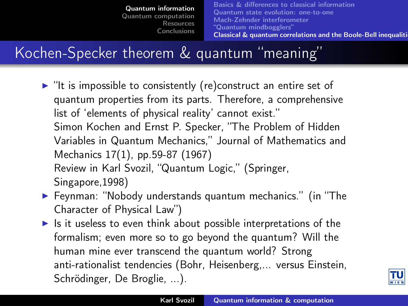[Basics & differences to classical information](#page-2-0) [Quantum state evolution: one-to-one](#page-4-0) [Mach-Zehnder interferometer](#page-6-0) ["Quantum mindbogglers"](#page-9-0) [Classical & quantum correlations and the Boole-Bell inequalitie](#page-11-0)s

Kochen-Specker theorem & quantum "meaning"

- $\blacktriangleright$  "It is impossible to consistently (re)construct an entire set of quantum properties from its parts. Therefore, a comprehensive list of 'elements of physical reality' cannot exist." Simon Kochen and Ernst P. Specker, "The Problem of Hidden Variables in Quantum Mechanics," Journal of Mathematics and Mechanics 17(1), pp.59-87 (1967) Review in Karl Svozil, "Quantum Logic," (Springer, Singapore,1998)
- ▶ Feynman: "Nobody understands quantum mechanics." (in "The Character of Physical Law")
- $\blacktriangleright$  Is it useless to even think about possible interpretations of the formalism; even more so to go beyond the quantum? Will the human mine ever transcend the quantum world? Strong anti-rationalist tendencies (Bohr, Heisenberg,... versus Einstein, Schrödinger, De Broglie, ...).

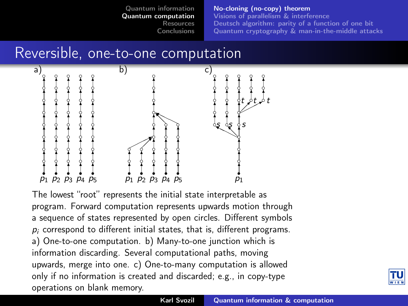[No-cloning \(no-copy\) theorem](#page-17-0) [Visions of parallelism & interference](#page-19-0) [Deutsch algorithm: parity of a function of one bit](#page-20-0) [Quantum cryptography & man-in-the-middle attacks](#page-27-0)

#### Reversible, one-to-one computation



The lowest "root" represents the initial state interpretable as program. Forward computation represents upwards motion through a sequence of states represented by open circles. Different symbols  $p_i$  correspond to different initial states, that is, different programs. a) One-to-one computation. b) Many-to-one junction which is information discarding. Several computational paths, moving upwards, merge into one. c) One-to-many computation is allowed only if no information is created and discarded; e.g., in copy-type operations on blank memory.

<span id="page-17-0"></span>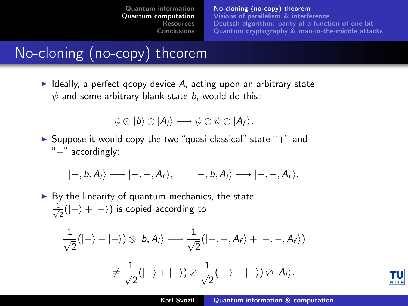[No-cloning \(no-copy\) theorem](#page-17-0) [Visions of parallelism & interference](#page-19-0) [Deutsch algorithm: parity of a function of one bit](#page-20-0) [Quantum cryptography & man-in-the-middle attacks](#page-27-0)

No-cloning (no-copy) theorem

 $\blacktriangleright$  Ideally, a perfect gcopy device A, acting upon an arbitrary state  $\psi$  and some arbitrary blank state b, would do this:

 $\psi \otimes |b\rangle \otimes |A_i\rangle \longrightarrow \psi \otimes \psi \otimes |A_f\rangle.$ 

 $\triangleright$  Suppose it would copy the two "quasi-classical" state "+" and "−" accordingly:

 $|+, b, A_i\rangle \longrightarrow |+, +, A_f\rangle, \qquad |-, b, A_i\rangle \longrightarrow |-, -, A_f\rangle.$ 

 $\triangleright$  By the linearity of quantum mechanics, the state  $\frac{1}{\sqrt{2}}(|+\rangle + |-\rangle)$  is copied according to

$$
\frac{1}{\sqrt{2}}(|+\rangle+|-\rangle) \otimes |b,A_i\rangle \longrightarrow \frac{1}{\sqrt{2}}(|+,+,A_f\rangle+|-,-,A_f\rangle)
$$

$$
\neq \frac{1}{\sqrt{2}}(|+\rangle + |-\rangle) \otimes \frac{1}{\sqrt{2}}(|+\rangle + |-\rangle) \otimes |A_i\rangle.
$$

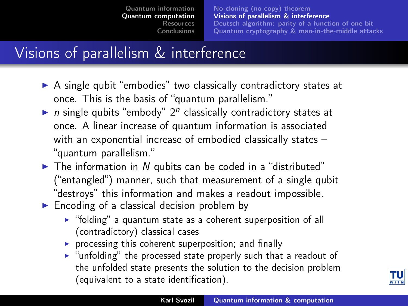[No-cloning \(no-copy\) theorem](#page-17-0) [Visions of parallelism & interference](#page-19-0) [Deutsch algorithm: parity of a function of one bit](#page-20-0) [Quantum cryptography & man-in-the-middle attacks](#page-27-0)

# Visions of parallelism & interference

- $\triangleright$  A single qubit "embodies" two classically contradictory states at once. This is the basis of "quantum parallelism."
- $\triangleright$  n single qubits "embody" 2<sup>n</sup> classically contradictory states at once. A linear increase of quantum information is associated with an exponential increase of embodied classically states – "quantum parallelism."
- $\blacktriangleright$  The information in N qubits can be coded in a "distributed" ("entangled") manner, such that measurement of a single qubit "destroys" this information and makes a readout impossible.
- $\triangleright$  Encoding of a classical decision problem by
	- $\triangleright$  "folding" a quantum state as a coherent superposition of all (contradictory) classical cases
	- $\triangleright$  processing this coherent superposition; and finally
	- $\blacktriangleright$  "unfolding" the processed state properly such that a readout of the unfolded state presents the solution to the decision problem (equivalent to a state identification).

<span id="page-19-0"></span>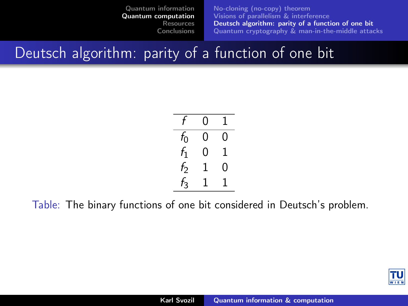[No-cloning \(no-copy\) theorem](#page-17-0) [Visions of parallelism & interference](#page-19-0) [Deutsch algorithm: parity of a function of one bit](#page-20-0) [Quantum cryptography & man-in-the-middle attacks](#page-27-0)

Deutsch algorithm: parity of a function of one bit

| f              | 0 | 1 |
|----------------|---|---|
| $f_{0}$        | 0 | 0 |
| $f_1$          | 0 | 1 |
| f <sub>2</sub> | 1 | 0 |
| $f_3$          | 1 |   |

Table: The binary functions of one bit considered in Deutsch's problem.

<span id="page-20-0"></span>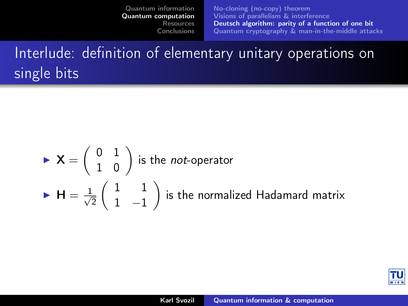[No-cloning \(no-copy\) theorem](#page-17-0) [Visions of parallelism & interference](#page-19-0) [Deutsch algorithm: parity of a function of one bit](#page-20-0) [Quantum cryptography & man-in-the-middle attacks](#page-27-0)

Interlude: definition of elementary unitary operations on single bits

$$
\mathbf{X} = \begin{pmatrix} 0 & 1 \\ 1 & 0 \end{pmatrix}
$$
 is the *not*-operator  

$$
\mathbf{H} = \frac{1}{\sqrt{2}} \begin{pmatrix} 1 & 1 \\ 1 & -1 \end{pmatrix}
$$
 is the normalized Hadamard matrix

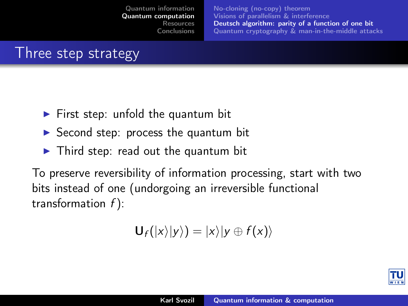[No-cloning \(no-copy\) theorem](#page-17-0) [Visions of parallelism & interference](#page-19-0) [Deutsch algorithm: parity of a function of one bit](#page-20-0) [Quantum cryptography & man-in-the-middle attacks](#page-27-0)

### Three step strategy

- $\blacktriangleright$  First step: unfold the quantum bit
- $\triangleright$  Second step: process the quantum bit
- $\blacktriangleright$  Third step: read out the quantum bit

To preserve reversibility of information processing, start with two bits instead of one (undorgoing an irreversible functional transformation  $f$ ):

$$
\mathbf{U}_f(|x\rangle|y\rangle)=|x\rangle|y\oplus f(x)\rangle
$$

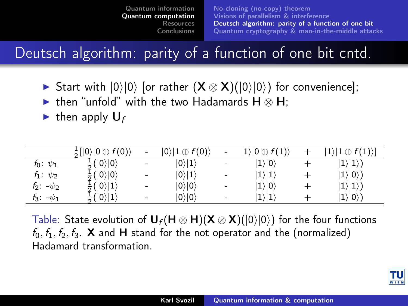[No-cloning \(no-copy\) theorem](#page-17-0) [Visions of parallelism & interference](#page-19-0) [Deutsch algorithm: parity of a function of one bit](#page-20-0) [Quantum cryptography & man-in-the-middle attacks](#page-27-0)

Deutsch algorithm: parity of a function of one bit cntd.

- **►** Start with  $|0\rangle|0\rangle$  [or rather  $(\mathbf{X} \otimes \mathbf{X})(|0\rangle|0\rangle)$  for convenience];
- $\blacktriangleright$  then "unfold" with the two Hadamards  $\blacktriangleright$  H $\triangle$  H:
- $\blacktriangleright$  then apply  $\mathsf{U}_f$

|                   | $\frac{1}{2}$ [ 0\ 0 $\oplus$ $f(0)\rangle$ |   | $ 0\rangle 1 \oplus f(0)\rangle$ | $\overline{\phantom{0}}$ | $ 1\rangle 0 \oplus f(1)\rangle$ | $ 1\rangle  1 \oplus f(1)\rangle]$ |
|-------------------|---------------------------------------------|---|----------------------------------|--------------------------|----------------------------------|------------------------------------|
| $f_0$ : $\psi_1$  | $\frac{1}{2}( 0\rangle 0\rangle$            | - | $ 0\rangle 1\rangle$             | $\overline{\phantom{0}}$ | $ 1\rangle 0\rangle$             | $ 1\rangle  1\rangle)$             |
| $f_1: \psi_2$     | $\frac{1}{2}( 0\rangle 0\rangle$            |   | $ 0\rangle 1\rangle$             | $\overline{\phantom{0}}$ | $ 1\rangle 1\rangle$             | $ 1\rangle 0\rangle)$              |
| $f_2$ : $-\psi_2$ | $\frac{1}{2}( 0\rangle 1\rangle$            |   | $ 0\rangle 0\rangle$             | $\overline{\phantom{0}}$ | $ 1\rangle 0\rangle$             | $ 1\rangle  1\rangle)$             |
| $f_3: -\psi_1$    | $( 0\rangle 1\rangle)$                      | - | $ 0\rangle 0\rangle$             | $\overline{\phantom{0}}$ | $1\rangle$  1)                   | $ 1\rangle 0\rangle)$              |

Table: State evolution of  $U_f (H \otimes H)(X \otimes X)(|0\rangle|0\rangle)$  for the four functions  $f_0$ ,  $f_1$ ,  $f_2$ ,  $f_3$ . **X** and **H** stand for the not operator and the (normalized) Hadamard transformation.

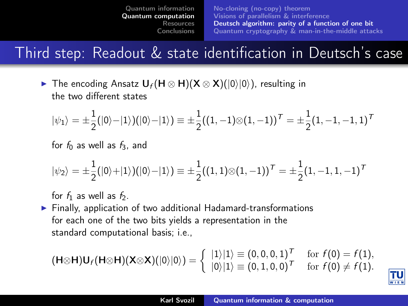[No-cloning \(no-copy\) theorem](#page-17-0) [Visions of parallelism & interference](#page-19-0) [Deutsch algorithm: parity of a function of one bit](#page-20-0) [Quantum cryptography & man-in-the-middle attacks](#page-27-0)

# Third step: Readout & state identification in Deutsch's case

**►** The encoding Ansatz  $U_f$ ( $H \otimes H$ )( $X \otimes X$ )( $|0\rangle|0\rangle$ ), resulting in the two different states

$$
|\psi_1\rangle=\pm\frac{1}{2}(|0\rangle-|1\rangle)(|0\rangle-|1\rangle)\equiv\pm\frac{1}{2}((1,-1)\otimes(1,-1))^{\textstyle\mathcal{T}}=\pm\frac{1}{2}(1,-1,-1,1)^{\textstyle\mathcal{T}}
$$

for  $f_0$  as well as  $f_3$ , and

$$
|\psi_2\rangle=\pm\frac{1}{2}(|0\rangle+|1\rangle)(|0\rangle-|1\rangle)\equiv\pm\frac{1}{2}((1,1)\otimes(1,-1))^{T}=\pm\frac{1}{2}(1,-1,1,-1)^{T}
$$

for  $f_1$  as well as  $f_2$ .

 $\blacktriangleright$  Finally, application of two additional Hadamard-transformations for each one of the two bits yields a representation in the standard computational basis; i.e.,

$$
(\mathbf{H}\otimes\mathbf{H})\mathbf{U}_f(\mathbf{H}\otimes\mathbf{H})(\mathbf{X}\otimes\mathbf{X})(|0\rangle|0\rangle)=\left\{\begin{array}{ll} |1\rangle|1\rangle\equiv(0,0,0,1)^T&\text{for }f(0)=f(1),\\ |0\rangle|1\rangle\equiv(0,1,0,0)^T&\text{for }f(0)\neq f(1).\end{array}\right.
$$

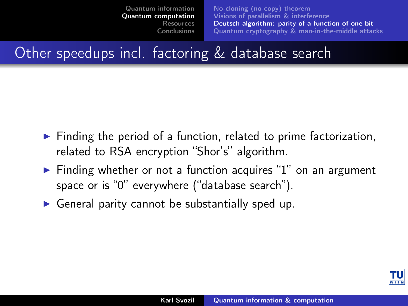[No-cloning \(no-copy\) theorem](#page-17-0) [Visions of parallelism & interference](#page-19-0) [Deutsch algorithm: parity of a function of one bit](#page-20-0) [Quantum cryptography & man-in-the-middle attacks](#page-27-0)

Other speedups incl. factoring & database search

- $\blacktriangleright$  Finding the period of a function, related to prime factorization, related to RSA encryption "Shor's" algorithm.
- $\triangleright$  Finding whether or not a function acquires "1" on an argument space or is "0" everywhere ("database search").
- $\triangleright$  General parity cannot be substantially sped up.

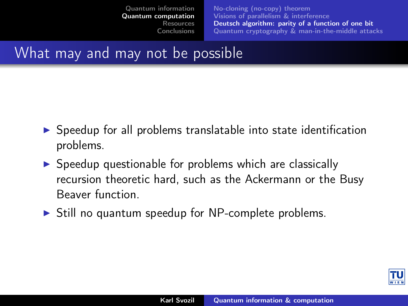[No-cloning \(no-copy\) theorem](#page-17-0) [Visions of parallelism & interference](#page-19-0) [Deutsch algorithm: parity of a function of one bit](#page-20-0) [Quantum cryptography & man-in-the-middle attacks](#page-27-0)

### What may and may not be possible

- $\triangleright$  Speedup for all problems translatable into state identification problems.
- $\triangleright$  Speedup questionable for problems which are classically recursion theoretic hard, such as the Ackermann or the Busy Beaver function.
- $\triangleright$  Still no quantum speedup for NP-complete problems.

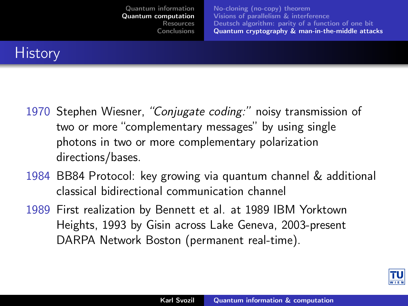[No-cloning \(no-copy\) theorem](#page-17-0) [Visions of parallelism & interference](#page-19-0) [Deutsch algorithm: parity of a function of one bit](#page-20-0) [Quantum cryptography & man-in-the-middle attacks](#page-27-0)



- 1970 Stephen Wiesner, "Conjugate coding:" noisy transmission of two or more "complementary messages" by using single photons in two or more complementary polarization directions/bases.
- 1984 BB84 Protocol: key growing via quantum channel & additional classical bidirectional communication channel
- 1989 First realization by Bennett et al. at 1989 IBM Yorktown Heights, 1993 by Gisin across Lake Geneva, 2003-present DARPA Network Boston (permanent real-time).

<span id="page-27-0"></span>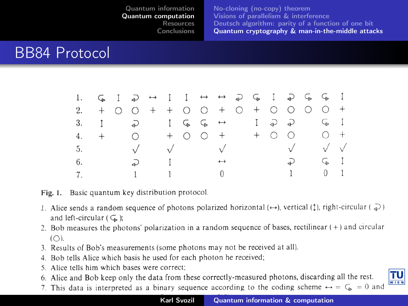[No-cloning \(no-copy\) theorem](#page-17-0) [Visions of parallelism & interference](#page-19-0) [Deutsch algorithm: parity of a function of one bit](#page-20-0) [Quantum cryptography & man-in-the-middle attacks](#page-27-0)

### BB84 Protocol

|    | 1. $G \uparrow \varphi \leftrightarrow \uparrow \uparrow \leftrightarrow \leftrightarrow \varphi G \uparrow \varphi G G$ |  |                                                                                             |  |  |  |  |                          |  |
|----|--------------------------------------------------------------------------------------------------------------------------|--|---------------------------------------------------------------------------------------------|--|--|--|--|--------------------------|--|
|    | 2. + $0$ O + + O O + O + O O O O +                                                                                       |  |                                                                                             |  |  |  |  |                          |  |
|    | 3. $1 \oplus 1 \oplus 6 \leftrightarrow 1 \oplus 3 \oplus 61$                                                            |  |                                                                                             |  |  |  |  |                          |  |
|    |                                                                                                                          |  |                                                                                             |  |  |  |  |                          |  |
|    | 5. $\sqrt{ }$ $\sqrt{ }$                                                                                                 |  |                                                                                             |  |  |  |  | $\vee$ $\vee$ $\vee$     |  |
| 6. |                                                                                                                          |  | $\begin{array}{ccc}\n\mathfrak{D} & \mathfrak{I} & \rightarrow & \mathfrak{S}\n\end{array}$ |  |  |  |  | $D \subseteq \mathbb{C}$ |  |
| 7. |                                                                                                                          |  | $1 \qquad 1 \qquad 0$                                                                       |  |  |  |  | $1 \qquad 0 \qquad 1$    |  |

Basic quantum key distribution protocol.  $Fig. 1.$ 

- 1. Alice sends a random sequence of photons polarized horizontal  $(\rightarrow)$ , vertical (1), right-circular ( $\overline{\phi}$ ) and left-circular  $(\mathbb{G})$ ;
- 2. Bob measures the photons' polarization in a random sequence of bases, rectilinear (+) and circular  $($
- 3. Results of Bob's measurements (some photons may not be received at all).
- 4. Bob tells Alice which basis he used for each photon he received;
- 5. Alice tells him which bases were correct:
- 6. Alice and Bob keep only the data from these correctly-measured photons, discarding all the rest.
- 7. This data is interpreted as a binary sequence according to the coding scheme  $\leftrightarrow$  =  $\subset_{\mathbf{P}}$  = 0 and

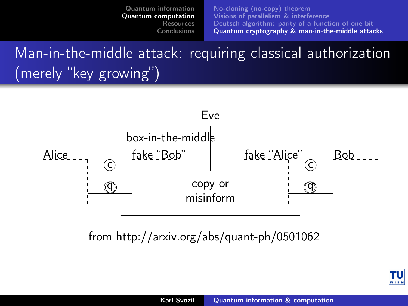[No-cloning \(no-copy\) theorem](#page-17-0) [Visions of parallelism & interference](#page-19-0) [Deutsch algorithm: parity of a function of one bit](#page-20-0) [Quantum cryptography & man-in-the-middle attacks](#page-27-0)

Man-in-the-middle attack: requiring classical authorization (merely "key growing")



from http://arxiv.org/abs/quant-ph/0501062

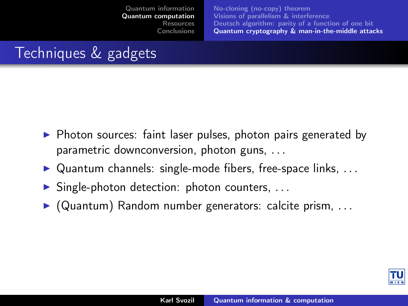[No-cloning \(no-copy\) theorem](#page-17-0) [Visions of parallelism & interference](#page-19-0) [Deutsch algorithm: parity of a function of one bit](#page-20-0) [Quantum cryptography & man-in-the-middle attacks](#page-27-0)

# Techniques & gadgets

- $\triangleright$  Photon sources: faint laser pulses, photon pairs generated by parametric downconversion, photon guns, . . .
- $\triangleright$  Quantum channels: single-mode fibers, free-space links,  $\dots$
- $\triangleright$  Single-photon detection: photon counters, ...
- $\blacktriangleright$  (Quantum) Random number generators: calcite prism, ...

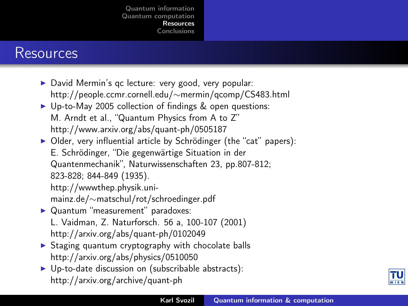#### Resources

- ▶ David Mermin's qc lecture: very good, very popular: http://people.ccmr.cornell.edu/∼mermin/qcomp/CS483.html
- $\triangleright$  Up-to-May 2005 collection of findings & open questions: M. Arndt et al., "Quantum Physics from A to Z" http://www.arxiv.org/abs/quant-ph/0505187
- $\triangleright$  Older, very influential article by Schrödinger (the "cat" papers): E. Schrödinger, "Die gegenwärtige Situation in der Quantenmechanik", Naturwissenschaften 23, pp.807-812; 823-828; 844-849 (1935).

http://wwwthep.physik.uni-

mainz.de/∼matschul/rot/schroedinger.pdf

- ▶ Quantum "measurement" paradoxes: L. Vaidman, Z. Naturforsch. 56 a, 100-107 (2001) http://arxiv.org/abs/quant-ph/0102049
- $\triangleright$  Staging quantum cryptography with chocolate balls http://arxiv.org/abs/physics/0510050
- $\triangleright$  Up-to-date discussion on (subscribable abstracts): http://arxiv.org/archive/quant-ph

<span id="page-31-0"></span>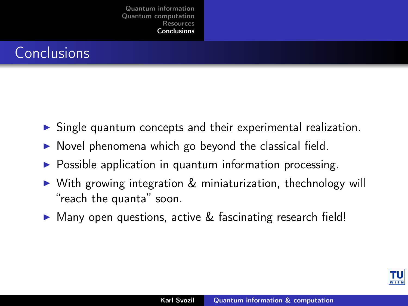## **Conclusions**

- $\triangleright$  Single quantum concepts and their experimental realization.
- $\triangleright$  Novel phenomena which go beyond the classical field.
- $\triangleright$  Possible application in quantum information processing.
- $\triangleright$  With growing integration & miniaturization, the chnology will "reach the quanta" soon.
- $\triangleright$  Many open questions, active & fascinating research field!

<span id="page-32-0"></span>